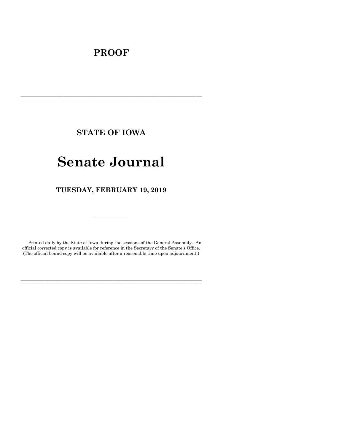# **PROOF**

**STATE OF IOWA**

**\_\_\_\_\_\_\_\_\_\_\_\_\_\_\_\_\_\_\_\_\_\_\_\_\_\_\_\_\_\_\_\_\_\_\_\_\_\_\_\_\_\_\_\_\_\_\_\_\_\_\_\_\_\_\_\_\_\_\_\_\_\_\_\_\_\_\_\_\_\_\_\_\_\_\_\_\_\_\_\_\_\_\_\_\_\_\_\_\_\_\_\_\_\_\_\_\_\_\_\_\_\_\_\_\_\_\_\_\_\_\_\_\_\_\_\_\_\_\_\_\_\_\_\_\_\_\_\_\_ \_\_\_\_\_\_\_\_\_\_\_\_\_\_\_\_\_\_\_\_\_\_\_\_\_\_\_\_\_\_\_\_\_\_\_\_\_\_\_\_\_\_\_\_\_\_\_\_\_\_\_\_\_\_\_\_\_\_\_\_\_\_\_\_\_\_\_\_\_\_\_\_\_\_\_\_\_\_\_\_\_\_\_\_\_\_\_\_\_\_\_\_\_\_\_\_\_\_\_\_\_\_\_\_\_\_\_\_\_\_\_\_\_\_\_\_\_\_\_\_\_\_\_\_\_\_\_\_\_**

# **Senate Journal**

**TUESDAY, FEBRUARY 19, 2019**

Printed daily by the State of Iowa during the sessions of the General Assembly. An official corrected copy is available for reference in the Secretary of the Senate's Office. (The official bound copy will be available after a reasonable time upon adjournment.)

**\_\_\_\_\_\_\_\_\_\_\_\_\_\_\_\_\_\_\_\_\_\_\_\_\_\_\_\_\_\_\_\_\_\_\_\_\_\_\_\_\_\_\_\_\_\_\_\_\_\_\_\_\_\_\_\_\_\_\_\_\_\_\_\_\_\_\_\_\_\_\_\_\_\_\_\_\_\_\_\_\_\_\_\_\_\_\_\_\_\_\_\_\_\_\_\_\_\_\_\_\_\_\_\_\_\_\_\_\_\_\_\_\_\_\_\_\_\_\_\_\_\_\_\_\_\_\_\_\_ \_\_\_\_\_\_\_\_\_\_\_\_\_\_\_\_\_\_\_\_\_\_\_\_\_\_\_\_\_\_\_\_\_\_\_\_\_\_\_\_\_\_\_\_\_\_\_\_\_\_\_\_\_\_\_\_\_\_\_\_\_\_\_\_\_\_\_\_\_\_\_\_\_\_\_\_\_\_\_\_\_\_\_\_\_\_\_\_\_\_\_\_\_\_\_\_\_\_\_\_\_\_\_\_\_\_\_\_\_\_\_\_\_\_\_\_\_\_\_\_\_\_\_\_\_\_\_\_\_**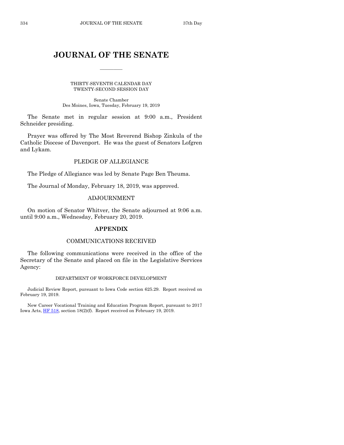## **JOURNAL OF THE SENATE**

 $\overline{\phantom{a}}$ 

THIRTY-SEVENTH CALENDAR DAY TWENTY-SECOND SESSION DAY

Senate Chamber Des Moines, Iowa, Tuesday, February 19, 2019

The Senate met in regular session at 9:00 a.m., President Schneider presiding.

Prayer was offered by The Most Reverend Bishop Zinkula of the Catholic Diocese of Davenport. He was the guest of Senators Lofgren and Lykam.

## PLEDGE OF ALLEGIANCE

The Pledge of Allegiance was led by Senate Page Ben Theuma.

The Journal of Monday, February 18, 2019, was approved.

## ADJOURNMENT

On motion of Senator Whitver, the Senate adjourned at 9:06 a.m. until 9:00 a.m., Wednesday, February 20, 2019.

## **APPENDIX**

## COMMUNICATIONS RECEIVED

The following communications were received in the office of the Secretary of the Senate and placed on file in the Legislative Services Agency:

## DEPARTMENT OF WORKFORCE DEVELOPMENT

Judicial Review Report, pursuant to Iowa Code section 625.29. Report received on February 19, 2019.

New Career Vocational Training and Education Program Report, pursuant to 2017 Iowa Acts[, HF 518,](https://www.legis.iowa.gov/legislation/BillBook?ga=88&ba=HF518) section 18(2)(f). Report received on February 19, 2019.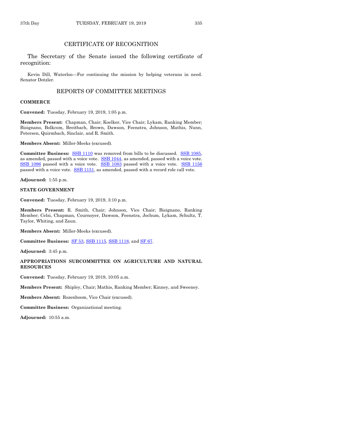## CERTIFICATE OF RECOGNITION

The Secretary of the Senate issued the following certificate of recognition:

Kevin Dill, Waterloo—For continuing the mission by helping veterans in need. Senator Dotzler.

## REPORTS OF COMMITTEE MEETINGS

#### **COMMERCE**

**Convened:** Tuesday, February 19, 2019, 1:05 p.m.

**Members Present:** Chapman, Chair; Koelker, Vice Chair; Lykam, Ranking Member; Bisignano, Bolkcom, Breitbach, Brown, Dawson, Feenstra, Johnson, Mathis, Nunn, Petersen, Quirmbach, Sinclair, and R. Smith.

**Members Absent:** Miller-Meeks (excused).

**Committee Business:** [SSB 1110](https://www.legis.iowa.gov/legislation/BillBook?ga=88&ba=SSB1110) was removed from bills to be discussed. [SSB 1085,](https://www.legis.iowa.gov/legislation/BillBook?ga=88&ba=SSB1085) as amended, passed with a voice vote. [SSB 1044,](https://www.legis.iowa.gov/legislation/BillBook?ga=88&ba=SSB1044) as amended, passed with a voice vote. [SSB 1096](https://www.legis.iowa.gov/legislation/BillBook?ga=88&ba=SSB1096) passed with a voice vote. [SSB 1083](https://www.legis.iowa.gov/legislation/BillBook?ga=88&ba=SSB1083) passed with a voice vote. [SSB 1156](https://www.legis.iowa.gov/legislation/BillBook?ga=88&ba=SSB1156) passed with a voice vote. [SSB 1151,](https://www.legis.iowa.gov/legislation/BillBook?ga=88&ba=SSB1151) as amended, passed with a record role call vote.

**Adjourned:** 1:55 p.m.

#### **STATE GOVERNMENT**

**Convened:** Tuesday, February 19, 2019, 3:10 p.m.

**Members Present:** R. Smith, Chair; Johnson, Vice Chair; Bisignano, Ranking Member; Celsi, Chapman, Cournoyer, Dawson, Feenstra, Jochum, Lykam, Schultz, T. Taylor, Whiting, and Zaun.

**Members Absent:** Miller-Meeks (excused).

**Committee Business:** [SF 53,](https://www.legis.iowa.gov/legislation/BillBook?ga=88&ba=SF53) [SSB 1115,](https://www.legis.iowa.gov/legislation/BillBook?ga=88&ba=SSB1115) [SSB 1118,](https://www.legis.iowa.gov/legislation/BillBook?ga=88&ba=SSB1118) and [SF 67.](https://www.legis.iowa.gov/legislation/BillBook?ga=88&ba=SF67)

**Adjourned:** 3:45 p.m.

#### **APPROPRIATIONS SUBCOMMITTEE ON AGRICULTURE AND NATURAL RESOURCES**

**Convened:** Tuesday, February 19, 2019, 10:05 a.m.

**Members Present:** Shipley, Chair; Mathis, Ranking Member; Kinney, and Sweeney.

**Members Absent:** Rozenboom, Vice Chair (excused).

**Committee Business:** Organizational meeting.

**Adjourned:** 10:55 a.m.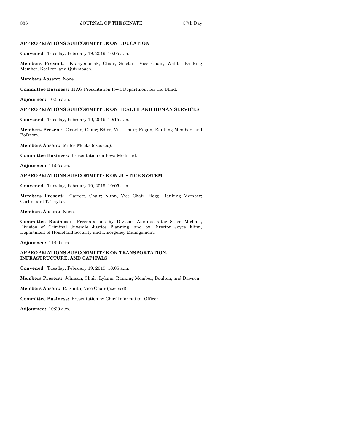#### **APPROPRIATIONS SUBCOMMITTEE ON EDUCATION**

**Convened:** Tuesday, February 19, 2019, 10:05 a.m.

**Members Present:** Kraayenbrink, Chair; Sinclair, Vice Chair; Wahls, Ranking Member; Koelker, and Quirmbach.

**Members Absent:** None.

**Committee Business:** IJAG Presentation Iowa Department for the Blind.

**Adjourned:** 10:55 a.m.

#### **APPROPRIATIONS SUBCOMMITTEE ON HEALTH AND HUMAN SERVICES**

**Convened:** Tuesday, February 19, 2019, 10:15 a.m.

**Members Present:** Costello, Chair; Edler, Vice Chair; Ragan, Ranking Member; and Bolkcom.

**Members Absent:** Miller-Meeks (excused).

**Committee Business:** Presentation on Iowa Medicaid.

**Adjourned:** 11:05 a.m.

## **APPROPRIATIONS SUBCOMMITTEE ON JUSTICE SYSTEM**

**Convened:** Tuesday, February 19, 2019, 10:05 a.m.

**Members Present:** Garrett, Chair; Nunn, Vice Chair; Hogg, Ranking Member; Carlin, and T. Taylor.

**Members Absent:** None.

**Committee Business:** Presentations by Division Administrator Steve Michael, Division of Criminal Juvenile Justice Planning, and by Director Joyce Flinn, Department of Homeland Security and Emergency Management.

**Adjourned:** 11:00 a.m.

#### **APPROPRIATIONS SUBCOMMITTEE ON TRANSPORTATION, INFRASTRUCTURE, AND CAPITALS**

**Convened:** Tuesday, February 19, 2019, 10:05 a.m.

**Members Present:** Johnson, Chair; Lykam, Ranking Member; Boulton, and Dawson.

**Members Absent:** R. Smith, Vice Chair (excused).

**Committee Business:** Presentation by Chief Information Officer.

**Adjourned:** 10:30 a.m.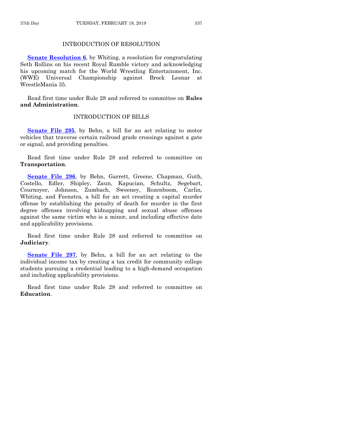## INTRODUCTION OF RESOLUTION

**[Senate Resolution 6](https://www.legis.iowa.gov/legislation/BillBook?ga=88&ba=SR6)**, by Whiting, a resolution for congratulating Seth Rollins on his recent Royal Rumble victory and acknowledging his upcoming match for the World Wrestling Entertainment, Inc. (WWE) Universal Championship against Brock Lesnar at WrestleMania 35.

Read first time under Rule 28 and referred to committee on **Rules and Administration**.

## INTRODUCTION OF BILLS

**[Senate File 295](https://www.legis.iowa.gov/legislation/BillBook?ga=88&ba=SF295)**, by Behn, a bill for an act relating to motor vehicles that traverse certain railroad grade crossings against a gate or signal, and providing penalties.

Read first time under Rule 28 and referred to committee on **Transportation**.

**[Senate File 296](https://www.legis.iowa.gov/legislation/BillBook?ga=88&ba=SF296)**, by Behn, Garrett, Greene, Chapman, Guth, Costello, Edler, Shipley, Zaun, Kapucian, Schultz, Segebart, Cournoyer, Johnson, Zumbach, Sweeney, Rozenboom, Carlin, Whiting, and Feenstra, a bill for an act creating a capital murder offense by establishing the penalty of death for murder in the first degree offenses involving kidnapping and sexual abuse offenses against the same victim who is a minor, and including effective date and applicability provisions.

Read first time under Rule 28 and referred to committee on **Judiciary**.

**[Senate File 297](https://www.legis.iowa.gov/legislation/BillBook?ga=88&ba=SF297)**, by Behn, a bill for an act relating to the individual income tax by creating a tax credit for community college students pursuing a credential leading to a high-demand occupation and including applicability provisions.

Read first time under Rule 28 and referred to committee on **Education**.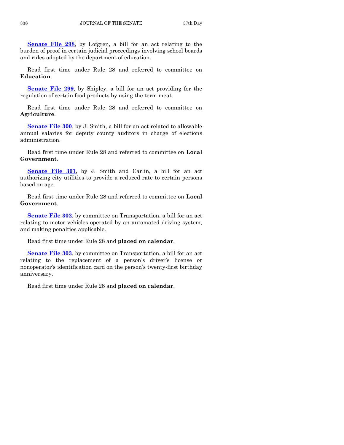**[Senate File 298](https://www.legis.iowa.gov/legislation/BillBook?ga=88&ba=SF298)**, by Lofgren, a bill for an act relating to the burden of proof in certain judicial proceedings involving school boards and rules adopted by the department of education.

Read first time under Rule 28 and referred to committee on **Education**.

**[Senate File 299](https://www.legis.iowa.gov/legislation/BillBook?ga=88&ba=SF299)**, by Shipley, a bill for an act providing for the regulation of certain food products by using the term meat.

Read first time under Rule 28 and referred to committee on **Agriculture**.

**[Senate File 300](https://www.legis.iowa.gov/legislation/BillBook?ga=88&ba=SF300)**, by J. Smith, a bill for an act related to allowable annual salaries for deputy county auditors in charge of elections administration.

Read first time under Rule 28 and referred to committee on **Local Government**.

**[Senate File 301](https://www.legis.iowa.gov/legislation/BillBook?ga=88&ba=SF301)**, by J. Smith and Carlin, a bill for an act authorizing city utilities to provide a reduced rate to certain persons based on age.

Read first time under Rule 28 and referred to committee on **Local Government**.

**[Senate File 302](https://www.legis.iowa.gov/legislation/BillBook?ga=88&ba=SF302)**, by committee on Transportation, a bill for an act relating to motor vehicles operated by an automated driving system, and making penalties applicable.

Read first time under Rule 28 and **placed on calendar**.

**[Senate File 303](https://www.legis.iowa.gov/legislation/BillBook?ga=88&ba=SF303)**, by committee on Transportation, a bill for an act relating to the replacement of a person's driver's license or nonoperator's identification card on the person's twenty-first birthday anniversary.

Read first time under Rule 28 and **placed on calendar**.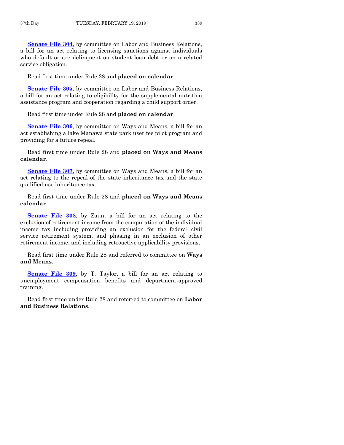**[Senate File 304](https://www.legis.iowa.gov/legislation/BillBook?ga=88&ba=SF304)**, by committee on Labor and Business Relations, a bill for an act relating to licensing sanctions against individuals who default or are delinquent on student loan debt or on a related service obligation.

Read first time under Rule 28 and **placed on calendar**.

**[Senate File 305](https://www.legis.iowa.gov/legislation/BillBook?ga=88&ba=SF305)**, by committee on Labor and Business Relations, a bill for an act relating to eligibility for the supplemental nutrition assistance program and cooperation regarding a child support order.

Read first time under Rule 28 and **placed on calendar**.

**[Senate File 306](https://www.legis.iowa.gov/legislation/BillBook?ga=88&ba=SF306)**, by committee on Ways and Means, a bill for an act establishing a lake Manawa state park user fee pilot program and providing for a future repeal.

Read first time under Rule 28 and **placed on Ways and Means calendar**.

**[Senate File 307](https://www.legis.iowa.gov/legislation/BillBook?ga=88&ba=SF307)**, by committee on Ways and Means, a bill for an act relating to the repeal of the state inheritance tax and the state qualified use inheritance tax.

Read first time under Rule 28 and **placed on Ways and Means calendar**.

**[Senate File 308](https://www.legis.iowa.gov/legislation/BillBook?ga=88&ba=SF308)**, by Zaun, a bill for an act relating to the exclusion of retirement income from the computation of the individual income tax including providing an exclusion for the federal civil service retirement system, and phasing in an exclusion of other retirement income, and including retroactive applicability provisions.

Read first time under Rule 28 and referred to committee on **Ways and Means**.

**[Senate File 309](https://www.legis.iowa.gov/legislation/BillBook?ga=88&ba=SF309)**, by T. Taylor, a bill for an act relating to unemployment compensation benefits and department-approved training.

Read first time under Rule 28 and referred to committee on **Labor and Business Relations**.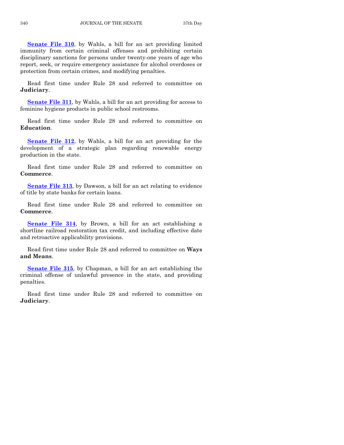**[Senate File 310](https://www.legis.iowa.gov/legislation/BillBook?ga=88&ba=SF310)**, by Wahls, a bill for an act providing limited immunity from certain criminal offenses and prohibiting certain disciplinary sanctions for persons under twenty-one years of age who report, seek, or require emergency assistance for alcohol overdoses or protection from certain crimes, and modifying penalties.

Read first time under Rule 28 and referred to committee on **Judiciary**.

**[Senate File 311](https://www.legis.iowa.gov/legislation/BillBook?ga=88&ba=SF311)**, by Wahls, a bill for an act providing for access to feminine hygiene products in public school restrooms.

Read first time under Rule 28 and referred to committee on **Education**.

**[Senate File 312](https://www.legis.iowa.gov/legislation/BillBook?ga=88&ba=SF312)**, by Wahls, a bill for an act providing for the development of a strategic plan regarding renewable energy production in the state.

Read first time under Rule 28 and referred to committee on **Commerce**.

**[Senate File 313](https://www.legis.iowa.gov/legislation/BillBook?ga=88&ba=SF313)**, by Dawson, a bill for an act relating to evidence of title by state banks for certain loans.

Read first time under Rule 28 and referred to committee on **Commerce**.

**[Senate File 314](https://www.legis.iowa.gov/legislation/BillBook?ga=88&ba=SF314)**, by Brown, a bill for an act establishing a shortline railroad restoration tax credit, and including effective date and retroactive applicability provisions.

Read first time under Rule 28 and referred to committee on **Ways and Means**.

**[Senate File 315](https://www.legis.iowa.gov/legislation/BillBook?ga=88&ba=SF315)**, by Chapman, a bill for an act establishing the criminal offense of unlawful presence in the state, and providing penalties.

Read first time under Rule 28 and referred to committee on **Judiciary**.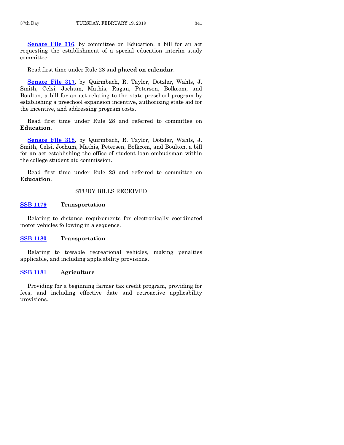**[Senate File 316](https://www.legis.iowa.gov/legislation/BillBook?ga=88&ba=SF316)**, by committee on Education, a bill for an act requesting the establishment of a special education interim study committee.

Read first time under Rule 28 and **placed on calendar**.

**[Senate File 317](https://www.legis.iowa.gov/legislation/BillBook?ga=88&ba=SF317)**, by Quirmbach, R. Taylor, Dotzler, Wahls, J. Smith, Celsi, Jochum, Mathis, Ragan, Petersen, Bolkcom, and Boulton, a bill for an act relating to the state preschool program by establishing a preschool expansion incentive, authorizing state aid for the incentive, and addressing program costs.

Read first time under Rule 28 and referred to committee on **Education**.

**[Senate File 318](https://www.legis.iowa.gov/legislation/BillBook?ga=88&ba=SF318)**, by Quirmbach, R. Taylor, Dotzler, Wahls, J. Smith, Celsi, Jochum, Mathis, Petersen, Bolkcom, and Boulton, a bill for an act establishing the office of student loan ombudsman within the college student aid commission.

Read first time under Rule 28 and referred to committee on **Education**.

## STUDY BILLS RECEIVED

## **[SSB 1179](https://www.legis.iowa.gov/legislation/BillBook?ga=88&ba=SSB1179) Transportation**

Relating to distance requirements for electronically coordinated motor vehicles following in a sequence.

#### **[SSB 1180](https://www.legis.iowa.gov/legislation/BillBook?ga=88&ba=SSB1180) Transportation**

Relating to towable recreational vehicles, making penalties applicable, and including applicability provisions.

#### **[SSB 1181](https://www.legis.iowa.gov/legislation/BillBook?ga=88&ba=SSB1181) Agriculture**

Providing for a beginning farmer tax credit program, providing for fees, and including effective date and retroactive applicability provisions.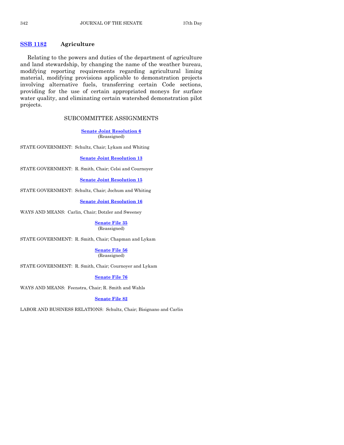## **[SSB 1182](https://www.legis.iowa.gov/legislation/BillBook?ga=88&ba=SSB1182) Agriculture**

Relating to the powers and duties of the department of agriculture and land stewardship, by changing the name of the weather bureau, modifying reporting requirements regarding agricultural liming material, modifying provisions applicable to demonstration projects involving alternative fuels, transferring certain Code sections, providing for the use of certain appropriated moneys for surface water quality, and eliminating certain watershed demonstration pilot projects.

## SUBCOMMITTEE ASSIGNMENTS

**[Senate Joint Resolution 6](https://www.legis.iowa.gov/legislation/BillBook?ga=88&ba=SJR6)** (Reassigned)

STATE GOVERNMENT: Schultz, Chair; Lykam and Whiting

**[Senate Joint Resolution 13](https://www.legis.iowa.gov/legislation/BillBook?ga=88&ba=SJR13)**

STATE GOVERNMENT: R. Smith, Chair; Celsi and Cournoyer

**[Senate Joint Resolution 15](https://www.legis.iowa.gov/legislation/BillBook?ga=88&ba=SJR15)**

STATE GOVERNMENT: Schultz, Chair; Jochum and Whiting

**[Senate Joint Resolution 16](https://www.legis.iowa.gov/legislation/BillBook?ga=88&ba=SJR16)**

WAYS AND MEANS: Carlin, Chair; Dotzler and Sweeney

#### **[Senate File 35](https://www.legis.iowa.gov/legislation/BillBook?ga=88&ba=SF35)** (Reassigned)

STATE GOVERNMENT: R. Smith, Chair; Chapman and Lykam

#### **[Senate File 56](https://www.legis.iowa.gov/legislation/BillBook?ga=88&ba=SF56)** (Reassigned)

STATE GOVERNMENT: R. Smith, Chair; Cournoyer and Lykam

## **[Senate File 76](https://www.legis.iowa.gov/legislation/BillBook?ga=88&ba=SF76)**

WAYS AND MEANS: Feenstra, Chair; R. Smith and Wahls

## **[Senate File 82](https://www.legis.iowa.gov/legislation/BillBook?ga=88&ba=SF82)**

LABOR AND BUSINESS RELATIONS: Schultz, Chair; Bisignano and Carlin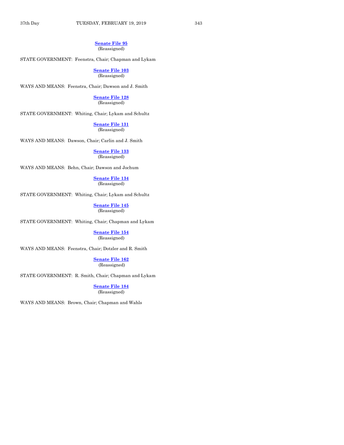#### **[Senate File 95](https://www.legis.iowa.gov/legislation/BillBook?ga=88&ba=SF95)** (Reassigned)

STATE GOVERNMENT: Feenstra, Chair; Chapman and Lykam

**[Senate File 103](https://www.legis.iowa.gov/legislation/BillBook?ga=88&ba=SF103)** (Reassigned)

WAYS AND MEANS: Feenstra, Chair; Dawson and J. Smith

**[Senate File 128](https://www.legis.iowa.gov/legislation/BillBook?ga=88&ba=SF128)**

(Reassigned)

STATE GOVERNMENT: Whiting, Chair; Lykam and Schultz

**[Senate File 131](https://www.legis.iowa.gov/legislation/BillBook?ga=88&ba=SF131)** (Reassigned)

WAYS AND MEANS: Dawson, Chair; Carlin and J. Smith

**[Senate File 133](https://www.legis.iowa.gov/legislation/BillBook?ga=88&ba=SF133)** (Reassigned)

WAYS AND MEANS: Behn, Chair; Dawson and Jochum

#### **[Senate File 134](https://www.legis.iowa.gov/legislation/BillBook?ga=88&ba=SF134)** (Reassigned)

STATE GOVERNMENT: Whiting, Chair; Lykam and Schultz

**[Senate File 145](https://www.legis.iowa.gov/legislation/BillBook?ga=88&ba=SF145)** (Reassigned)

STATE GOVERNMENT: Whiting, Chair; Chapman and Lykam

**[Senate File 154](https://www.legis.iowa.gov/legislation/BillBook?ga=88&ba=SF154)** (Reassigned)

WAYS AND MEANS: Feenstra, Chair; Dotzler and R. Smith

**[Senate File 162](https://www.legis.iowa.gov/legislation/BillBook?ga=88&ba=SF162)** (Reassigned)

STATE GOVERNMENT: R. Smith, Chair; Chapman and Lykam

**[Senate File 184](https://www.legis.iowa.gov/legislation/BillBook?ga=88&ba=SF184)** (Reassigned)

WAYS AND MEANS: Brown, Chair; Chapman and Wahls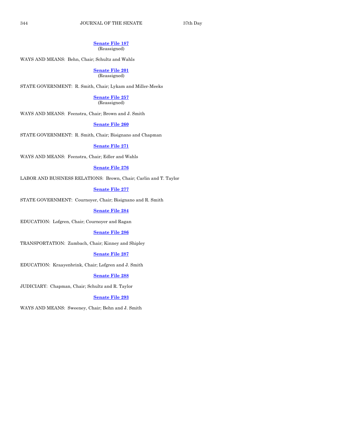#### **[Senate File 187](https://www.legis.iowa.gov/legislation/BillBook?ga=88&ba=SF187)** (Reassigned)

WAYS AND MEANS: Behn, Chair; Schultz and Wahls

**[Senate File 201](https://www.legis.iowa.gov/legislation/BillBook?ga=88&ba=SF201)** (Reassigned)

STATE GOVERNMENT: R. Smith, Chair; Lykam and Miller-Meeks

## **[Senate File 257](https://www.legis.iowa.gov/legislation/BillBook?ga=88&ba=SF257)**

(Reassigned)

WAYS AND MEANS: Feenstra, Chair; Brown and J. Smith

#### **[Senate File 260](https://www.legis.iowa.gov/legislation/BillBook?ga=88&ba=SF260)**

STATE GOVERNMENT: R. Smith, Chair; Bisignano and Chapman

## **[Senate File 271](https://www.legis.iowa.gov/legislation/BillBook?ga=88&ba=SF271)**

WAYS AND MEANS: Feenstra, Chair; Edler and Wahls

#### **[Senate File 276](https://www.legis.iowa.gov/legislation/BillBook?ga=88&ba=SF276)**

LABOR AND BUSINESS RELATIONS: Brown, Chair; Carlin and T. Taylor

#### **[Senate File 277](https://www.legis.iowa.gov/legislation/BillBook?ga=88&ba=SF277)**

STATE GOVERNMENT: Cournoyer, Chair; Bisignano and R. Smith

#### **[Senate File 284](https://www.legis.iowa.gov/legislation/BillBook?ga=88&ba=SF284)**

EDUCATION: Lofgren, Chair; Cournoyer and Ragan

#### **[Senate File 286](https://www.legis.iowa.gov/legislation/BillBook?ga=88&ba=SF286)**

TRANSPORTATION: Zumbach, Chair; Kinney and Shipley

#### **[Senate File 287](https://www.legis.iowa.gov/legislation/BillBook?ga=88&ba=SF287)**

EDUCATION: Kraayenbrink, Chair; Lofgren and J. Smith

#### **[Senate File 288](https://www.legis.iowa.gov/legislation/BillBook?ga=88&ba=SF288)**

JUDICIARY: Chapman, Chair; Schultz and R. Taylor

## **[Senate File 293](https://www.legis.iowa.gov/legislation/BillBook?ga=88&ba=SF293)**

WAYS AND MEANS: Sweeney, Chair; Behn and J. Smith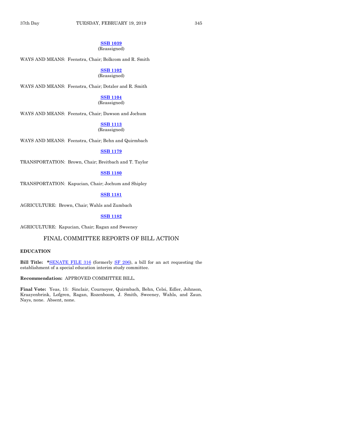## **[SSB 1039](https://www.legis.iowa.gov/legislation/BillBook?ga=88&ba=SSB1039)**

## (Reassigned)

WAYS AND MEANS: Feenstra, Chair; Bolkcom and R. Smith

**[SSB 1102](https://www.legis.iowa.gov/legislation/BillBook?ga=88&ba=SSB1102)** (Reassigned)

WAYS AND MEANS: Feenstra, Chair; Dotzler and R. Smith

#### **[SSB 1104](https://www.legis.iowa.gov/legislation/BillBook?ga=88&ba=SSB1104)**

(Reassigned)

WAYS AND MEANS: Feenstra, Chair; Dawson and Jochum

## **[SSB 1113](https://www.legis.iowa.gov/legislation/BillBook?ga=88&ba=SSB1113)**

(Reassigned)

WAYS AND MEANS: Feenstra, Chair; Behn and Quirmbach

## **[SSB 1179](https://www.legis.iowa.gov/legislation/BillBook?ga=88&ba=SSB1179)**

TRANSPORTATION: Brown, Chair; Breitbach and T. Taylor

## **[SSB 1180](https://www.legis.iowa.gov/legislation/BillBook?ga=88&ba=SSB1180)**

TRANSPORTATION: Kapucian, Chair; Jochum and Shipley

## **[SSB 1181](https://www.legis.iowa.gov/legislation/BillBook?ga=88&ba=SSB1181)**

AGRICULTURE: Brown, Chair; Wahls and Zumbach

## **[SSB 1182](https://www.legis.iowa.gov/legislation/BillBook?ga=88&ba=SSB1182)**

AGRICULTURE: Kapucian, Chair; Ragan and Sweeney

## FINAL COMMITTEE REPORTS OF BILL ACTION

## **EDUCATION**

**Bill Title: \***[SENATE FILE 316](https://www.legis.iowa.gov/legislation/BillBook?ga=88&ba=SF316) (formerly [SF 206\)](https://www.legis.iowa.gov/legislation/BillBook?ga=88&ba=SF206), a bill for an act requesting the establishment of a special education interim study committee.

## **Recommendation:** APPROVED COMMITTEE BILL.

**Final Vote:** Yeas, 15: Sinclair, Cournoyer, Quirmbach, Behn, Celsi, Edler, Johnson, Kraayenbrink, Lofgren, Ragan, Rozenboom, J. Smith, Sweeney, Wahls, and Zaun. Nays, none. Absent, none.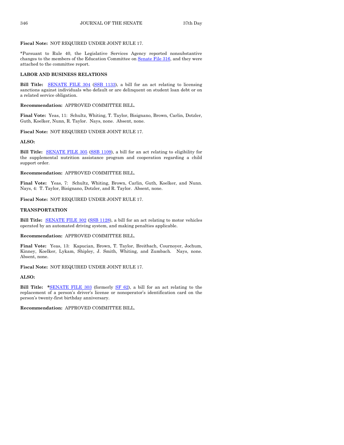#### **Fiscal Note:** NOT REQUIRED UNDER JOINT RULE 17.

\*Pursuant to Rule 40, the Legislative Services Agency reported nonsubstantive changes to the members of the Education Committee on Senate [File 316,](https://www.legis.iowa.gov/legislation/BillBook?ga=88&ba=SF316) and they were attached to the committee report.

#### **LABOR AND BUSINESS RELATIONS**

**Bill Title:** [SENATE FILE 304](https://www.legis.iowa.gov/legislation/BillBook?ga=88&ba=SF304) [\(SSB 1133\)](https://www.legis.iowa.gov/legislation/BillBook?ga=88&ba=SSB1133), a bill for an act relating to licensing sanctions against individuals who default or are delinquent on student loan debt or on a related service obligation.

#### **Recommendation:** APPROVED COMMITTEE BILL.

**Final Vote:** Yeas, 11: Schultz, Whiting, T. Taylor, Bisignano, Brown, Carlin, Dotzler, Guth, Koelker, Nunn, R. Taylor. Nays, none. Absent, none.

#### **Fiscal Note:** NOT REQUIRED UNDER JOINT RULE 17.

#### **ALSO:**

Bill Title: **[SENATE FILE 305](https://www.legis.iowa.gov/legislation/BillBook?ga=88&ba=SF305) [\(SSB 1109\)](https://www.legis.iowa.gov/legislation/BillBook?ga=88&ba=SSB1109)**, a bill for an act relating to eligibility for the supplemental nutrition assistance program and cooperation regarding a child support order.

## **Recommendation:** APPROVED COMMITTEE BILL.

**Final Vote:** Yeas, 7: Schultz, Whiting, Brown, Carlin, Guth, Koelker, and Nunn. Nays, 4: T. Taylor, Bisignano, Dotzler, and R. Taylor. Absent, none.

#### **Fiscal Note:** NOT REQUIRED UNDER JOINT RULE 17.

#### **TRANSPORTATION**

**Bill Title:** [SENATE FILE 302](https://www.legis.iowa.gov/legislation/BillBook?ga=88&ba=SF302) [\(SSB 1128\)](https://www.legis.iowa.gov/legislation/BillBook?ga=88&ba=SSB1128), a bill for an act relating to motor vehicles operated by an automated driving system, and making penalties applicable.

#### **Recommendation:** APPROVED COMMITTEE BILL.

**Final Vote:** Yeas, 13: Kapucian, Brown, T. Taylor, Breitbach, Cournoyer, Jochum, Kinney, Koelker, Lykam, Shipley, J. Smith, Whiting, and Zumbach. Nays, none. Absent, none.

**Fiscal Note:** NOT REQUIRED UNDER JOINT RULE 17.

#### **ALSO:**

**Bill Title: \***[SENATE FILE 303](https://www.legis.iowa.gov/legislation/BillBook?ga=88&ba=SF303) (formerly [SF 62\)](https://www.legis.iowa.gov/legislation/BillBook?ga=88&ba=SF62), a bill for an act relating to the replacement of a person's driver's license or nonoperator's identification card on the person's twenty-first birthday anniversary.

**Recommendation:** APPROVED COMMITTEE BILL.